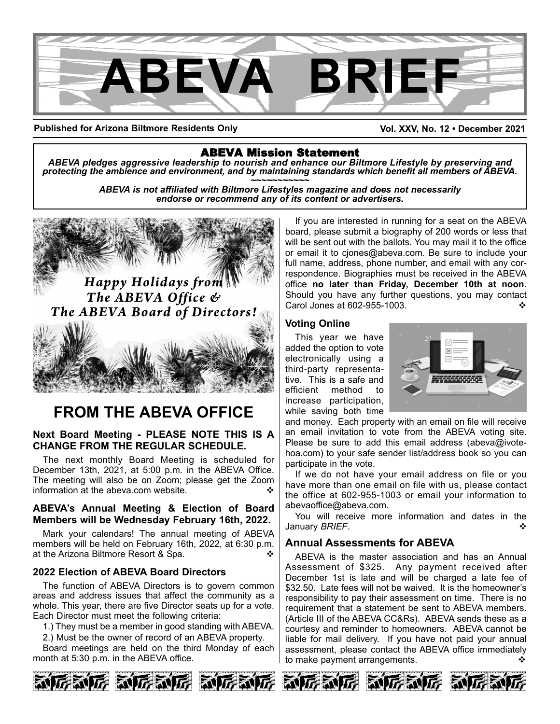

**Published for Arizona Biltmore Residents Only**

**Vol. XXV, No. 12 • December 2021**

ABEVA Mission Statement *ABEVA pledges aggressive leadership to nourish and enhance our Biltmore Lifestyle by preserving and* protecting the ambience and environment, and by maintaining standards which benefit all members of ABEVA.<br>ABEVA is not affiliated with Biltmore Lifestyles magazine and does not necessarily

*endorse or recommend any of its content or advertisers.*



# **FROM THE ABEVA OFFICE**

#### **Next Board Meeting - PLEASE NOTE THIS IS A CHANGE FROM THE REGULAR SCHEDULE.**

The next monthly Board Meeting is scheduled for December 13th, 2021, at 5:00 p.m. in the ABEVA Office. The meeting will also be on Zoom; please get the Zoom information at the abeva.com website.

#### **ABEVA's Annual Meeting & Election of Board Members will be Wednesday February 16th, 2022.**

Mark your calendars! The annual meeting of ABEVA members will be held on February 16th, 2022, at 6:30 p.m. at the Arizona Biltmore Resort & Spa. v

### **2022 Election of ABEVA Board Directors**

The function of ABEVA Directors is to govern common areas and address issues that affect the community as a whole. This year, there are five Director seats up for a vote. Each Director must meet the following criteria:

1.) They must be a member in good standing with ABEVA.

2.) Must be the owner of record of an ABEVA property.

Board meetings are held on the third Monday of each month at 5:30 p.m. in the ABEVA office.



If you are interested in running for a seat on the ABEVA board, please submit a biography of 200 words or less that will be sent out with the ballots. You may mail it to the office or email it to cjones@abeva.com. Be sure to include your full name, address, phone number, and email with any correspondence. Biographies must be received in the ABEVA office **no later than Friday, December 10th at noon**. Should you have any further questions, you may contact Carol Jones at 602-955-1003.

#### **Voting Online**

This year we have added the option to vote electronically using a third-party representative. This is a safe and efficient method to increase participation, while saving both time



and money. Each property with an email on file will receive an email invitation to vote from the ABEVA voting site. Please be sure to add this email address (abeva@ivotehoa.com) to your safe sender list/address book so you can participate in the vote.

If we do not have your email address on file or you have more than one email on file with us, please contact the office at 602-955-1003 or email your information to abevaoffice@abeva.com.

You will receive more information and dates in the January **BRIEF**.

### **Annual Assessments for ABEVA**

ABEVA is the master association and has an Annual Assessment of \$325. Any payment received after December 1st is late and will be charged a late fee of \$32.50. Late fees will not be waived. It is the homeowner's responsibility to pay their assessment on time. There is no requirement that a statement be sent to ABEVA members. (Article III of the ABEVA CC&Rs). ABEVA sends these as a courtesy and reminder to homeowners. ABEVA cannot be liable for mail delivery. If you have not paid your annual assessment, please contact the ABEVA office immediately to make payment arrangements.





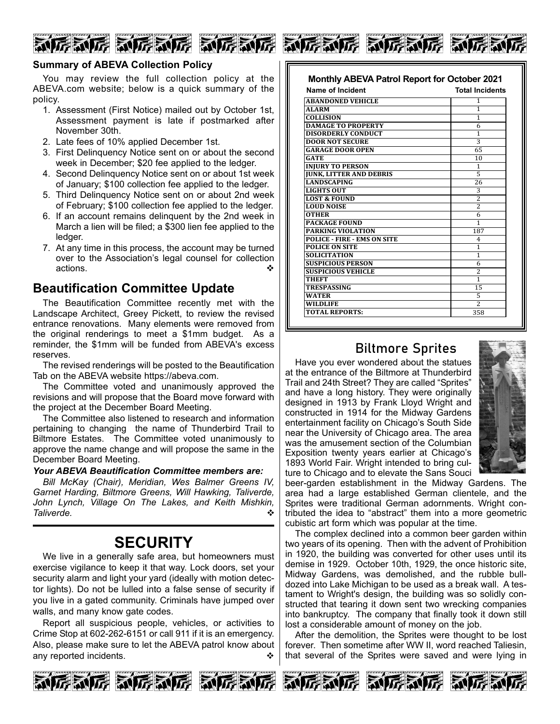





You may review the full collection policy at the ABEVA.com website; below is a quick summary of the policy.

- 1. Assessment (First Notice) mailed out by October 1st, Assessment payment is late if postmarked after November 30th.
- 2. Late fees of 10% applied December 1st.
- 3. First Delinquency Notice sent on or about the second week in December; \$20 fee applied to the ledger.
- 4. Second Delinquency Notice sent on or about 1st week of January; \$100 collection fee applied to the ledger.
- 5. Third Delinquency Notice sent on or about 2nd week of February; \$100 collection fee applied to the ledger.
- 6. If an account remains delinquent by the 2nd week in March a lien will be filed; a \$300 lien fee applied to the ledger.
- 7. At any time in this process, the account may be turned over to the Association's legal counsel for collection actions. v

### **Beautification Committee Update**

The Beautification Committee recently met with the Landscape Architect, Greey Pickett, to review the revised entrance renovations. Many elements were removed from the original renderings to meet a \$1mm budget. As a reminder, the \$1mm will be funded from ABEVA's excess reserves.

The revised renderings will be posted to the Beautification Tab on the ABEVA website https://abeva.com.

The Committee voted and unanimously approved the revisions and will propose that the Board move forward with the project at the December Board Meeting.

The Committee also listened to research and information pertaining to changing the name of Thunderbird Trail to Biltmore Estates. The Committee voted unanimously to approve the name change and will propose the same in the December Board Meeting.

#### *Your ABEVA Beautification Committee members are:*

*Bill McKay (Chair), Meridian, Wes Balmer Greens IV, Garnet Harding, Biltmore Greens, Will Hawking, Taliverde, John Lynch, Village On The Lakes, and Keith Mishkin,*  $Taliverde.$ 

## **SECURITY**

We live in a generally safe area, but homeowners must exercise vigilance to keep it that way. Lock doors, set your security alarm and light your yard (ideally with motion detector lights). Do not be lulled into a false sense of security if you live in a gated community. Criminals have jumped over walls, and many know gate codes.

Report all suspicious people, vehicles, or activities to Crime Stop at 602-262-6151 or call 911 if it is an emergency. Also, please make sure to let the ABEVA patrol know about any reported incidents.

| Name of Incident                   | <b>Total Incidents</b>   |
|------------------------------------|--------------------------|
| <b>ABANDONED VEHICLE</b>           | 1                        |
| <b>ALARM</b>                       | 1                        |
| <b>COLLISION</b>                   | 1                        |
| <b>DAMAGE TO PROPERTY</b>          | 6                        |
| <b>DISORDERLY CONDUCT</b>          | 1                        |
| <b>DOOR NOT SECURE</b>             | 3                        |
| <b>GARAGE DOOR OPEN</b>            | 65                       |
| <b>GATE</b>                        | 10                       |
| <b>INJURY TO PERSON</b>            | 1                        |
| <b>JUNK, LITTER AND DEBRIS</b>     | 5                        |
| <b>LANDSCAPING</b>                 | 26                       |
| <b>LIGHTS OUT</b>                  | 3                        |
| <b>LOST &amp; FOUND</b>            | 2                        |
| <b>LOUD NOISE</b>                  | 2                        |
| <b>OTHER</b>                       | 6                        |
| <b>PACKAGE FOUND</b>               | 1                        |
| PARKING VIOLATION                  | 187                      |
| <b>POLICE - FIRE - EMS ON SITE</b> | 4                        |
| <b>POLICE ON SITE</b>              | 1                        |
| <b>SOLICITATION</b>                | 1                        |
| <b>SUSPICIOUS PERSON</b>           | 6                        |
| <b>SUSPICIOUS VEHICLE</b>          | 2                        |
| THEFT                              | $\overline{1}$           |
| TRESPASSING                        | 15                       |
| <b>WATER</b>                       | 5                        |
| <b>WILDLIFE</b>                    | $\overline{\mathcal{L}}$ |
| <b>TOTAL REPORTS:</b>              | 358                      |

### Biltmore Sprites

Have you ever wondered about the statues at the entrance of the Biltmore at Thunderbird Trail and 24th Street? They are called "Sprites" and have a long history. They were originally designed in 1913 by Frank Lloyd Wright and constructed in 1914 for the Midway Gardens entertainment facility on Chicago's South Side near the University of Chicago area. The area was the amusement section of the Columbian Exposition twenty years earlier at Chicago's 1893 World Fair. Wright intended to bring culture to Chicago and to elevate the Sans Souci



beer-garden establishment in the Midway Gardens. The area had a large established German clientele, and the Sprites were traditional German adornments. Wright contributed the idea to "abstract" them into a more geometric cubistic art form which was popular at the time.

The complex declined into a common beer garden within two years of its opening. Then with the advent of Prohibition in 1920, the building was converted for other uses until its demise in 1929. October 10th, 1929, the once historic site, Midway Gardens, was demolished, and the rubble bulldozed into Lake Michigan to be used as a break wall. A testament to Wright's design, the building was so solidly constructed that tearing it down sent two wrecking companies into bankruptcy. The company that finally took it down still lost a considerable amount of money on the job.

After the demolition, the Sprites were thought to be lost forever. Then sometime after WW II, word reached Taliesin, that several of the Sprites were saved and were lying in





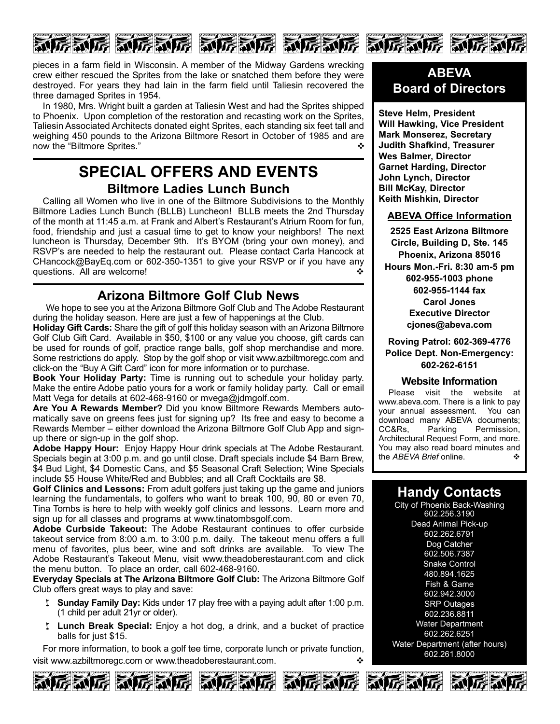

pieces in a farm field in Wisconsin. A member of the Midway Gardens wrecking crew either rescued the Sprites from the lake or snatched them before they were destroyed. For years they had lain in the farm field until Taliesin recovered the three damaged Sprites in 1954.

In 1980, Mrs. Wright built a garden at Taliesin West and had the Sprites shipped to Phoenix. Upon completion of the restoration and recasting work on the Sprites, Taliesin Associated Architects donated eight Sprites, each standing six feet tall and weighing 450 pounds to the Arizona Biltmore Resort in October of 1985 and are now the "Biltmore Sprites." v

### **SPECIAL OFFERS AND EVENTS Biltmore Ladies Lunch Bunch**

Calling all Women who live in one of the Biltmore Subdivisions to the Monthly Biltmore Ladies Lunch Bunch (BLLB) Luncheon! BLLB meets the 2nd Thursday of the month at 11:45 a.m. at Frank and Albert's Restaurant's Atrium Room for fun, food, friendship and just a casual time to get to know your neighbors! The next luncheon is Thursday, December 9th. It's BYOM (bring your own money), and RSVP's are needed to help the restaurant out. Please contact Carla Hancock at CHancock@BayEq.com or 602-350-1351 to give your RSVP or if you have any questions. All are welcome!

### **Arizona Biltmore Golf Club News**

We hope to see you at the Arizona Biltmore Golf Club and The Adobe Restaurant during the holiday season. Here are just a few of happenings at the Club.

**Holiday Gift Cards:** Share the gift of golf this holiday season with an Arizona Biltmore Golf Club Gift Card. Available in \$50, \$100 or any value you choose, gift cards can be used for rounds of golf, practice range balls, golf shop merchandise and more. Some restrictions do apply. Stop by the golf shop or visit www.azbiltmoregc.com and click-on the "Buy A Gift Card" icon for more information or to purchase.

**Book Your Holiday Party:** Time is running out to schedule your holiday party. Make the entire Adobe patio yours for a work or family holiday party. Call or email Matt Vega for details at 602-468-9160 or myega@jdmgolf.com.

**Are You A Rewards Member?** Did you know Biltmore Rewards Members automatically save on greens fees just for signing up? Its free and easy to become a Rewards Member – either download the Arizona Biltmore Golf Club App and signup there or sign-up in the golf shop.

**Adobe Happy Hour:** Enjoy Happy Hour drink specials at The Adobe Restaurant. Specials begin at 3:00 p.m. and go until close. Draft specials include \$4 Barn Brew, \$4 Bud Light, \$4 Domestic Cans, and \$5 Seasonal Craft Selection; Wine Specials include \$5 House White/Red and Bubbles; and all Craft Cocktails are \$8.

**Golf Clinics and Lessons:** From adult golfers just taking up the game and juniors learning the fundamentals, to golfers who want to break 100, 90, 80 or even 70, Tina Tombs is here to help with weekly golf clinics and lessons. Learn more and sign up for all classes and programs at www.tinatombsgolf.com.

**Adobe Curbside Takeout:** The Adobe Restaurant continues to offer curbside takeout service from 8:00 a.m. to 3:00 p.m. daily. The takeout menu offers a full menu of favorites, plus beer, wine and soft drinks are available. To view The Adobe Restaurant's Takeout Menu, visit www.theadoberestaurant.com and click the menu button. To place an order, call 602-468-9160.

**Everyday Specials at The Arizona Biltmore Golf Club:** The Arizona Biltmore Golf Club offers great ways to play and save:

- w **Sunday Family Day:** Kids under 17 play free with a paying adult after 1:00 p.m. (1 child per adult 21yr or older).
- w **Lunch Break Special:** Enjoy a hot dog, a drink, and a bucket of practice balls for just \$15.

For more information, to book a golf tee time, corporate lunch or private function, visit www.azbiltmoregc.com or www.theadoberestaurant.com.









**Steve Helm, President Will Hawking, Vice President Mark Monserez, Secretary Judith Shafkind, Treasurer Wes Balmer, Director Garnet Harding, Director John Lynch, Director Bill McKay, Director Keith Mishkin, Director**

### **ABEVA Office Information**

**2525 East Arizona Biltmore Circle, Building D, Ste. 145 Phoenix, Arizona 85016 Hours Mon.-Fri. 8:30 am-5 pm 602-955-1003 phone 602-955-1144 fax Carol Jones Executive Director cjones@abeva.com**

**Roving Patrol: 602-369-4776 Police Dept. Non-Emergency: 602-262-6151**

#### **Website Information**

Please visit the website at www.abeva.com. There is a link to pay your annual assessment. You can download many ABEVA documents; CC&Rs, Parking Permission, Architectural Request Form, and more. You may also read board minutes and<br>the AREVA Brief online the *ABEVA Brief* online.

### **Handy Contacts**

City of Phoenix Back-Washing 602.256.3190 Dead Animal Pick-up 602.262.6791 Dog Catcher 602.506.7387 Snake Control 480.894.1625 Fish & Game 602.942.3000 SRP Outages 602.236.8811 Water Department 602.262.6251 Water Department (after hours) 602.261.8000